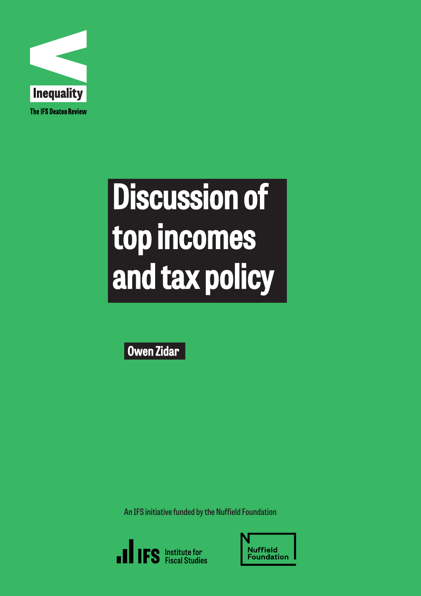

# Discussion of top incomes and tax policy

Owen Zidar

**An IFS initiative funded by the Nuffield Foundation**



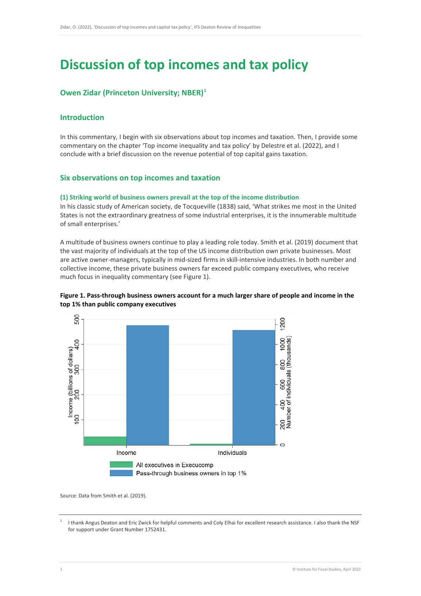# **Discussion of top incomes and tax policy**

# **Owen Zidar (Princeton University; NBER)[1](#page-1-0)**

# **Introduction**

In this commentary, I begin with six observations about top incomes and taxation. Then, I provide some commentary on the chapter 'Top income inequality and tax policy' by Delestre et al. (2022), and I conclude with a brief discussion on the revenue potential of top capital gains taxation.

## **Six observations on top incomes and taxation**

#### **(1) Striking world of business owners prevail at the top of the income distribution**

In his classic study of American society, de Tocqueville (1838) said, 'What strikes me most in the United States is not the extraordinary greatness of some industrial enterprises, it is the innumerable multitude of small enterprises.'

A multitude of business owners continue to play a leading role today. Smith et al. (2019) document that the vast majority of individuals at the top of the US income distribution own private businesses. Most are active owner-managers, typically in mid-sized firms in skill-intensive industries. In both number and collective income, these private business owners far exceed public company executives, who receive much focus in inequality commentary (see Figure 1).



## **Figure 1. Pass-through business owners account for a much larger share of people and income in the top 1% than public company executives**

Source: Data from Smith et al. (2019).

<span id="page-1-0"></span><sup>1</sup> I thank Angus Deaton and Eric Zwick for helpful comments and Coly Elhai for excellent research assistance. I also thank the NSF for support under Grant Number 1752431.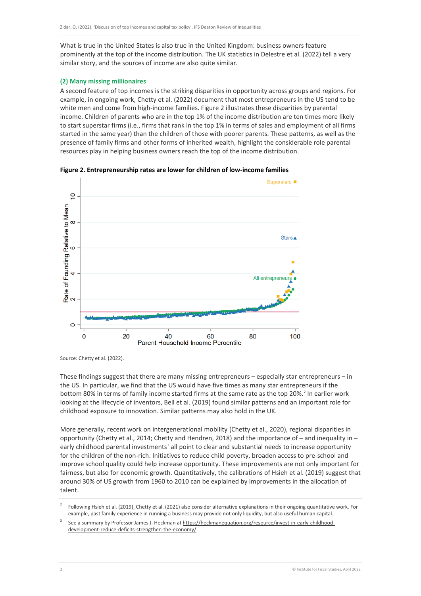What is true in the United States is also true in the United Kingdom: business owners feature prominently at the top of the income distribution. The UK statistics in Delestre et al. (2022) tell a very similar story, and the sources of income are also quite similar.

#### **(2) Many missing millionaires**

A second feature of top incomes is the striking disparities in opportunity across groups and regions. For example, in ongoing work, Chetty et al. (2022) document that most entrepreneurs in the US tend to be white men and come from high-income families. Figure 2 illustrates these disparities by parental income. Children of parents who are in the top 1% of the income distribution are ten times more likely to start superstar firms (i.e., firms that rank in the top 1% in terms of sales and employment of all firms started in the same year) than the children of those with poorer parents. These patterns, as well as the presence of family firms and other forms of inherited wealth, highlight the considerable role parental resources play in helping business owners reach the top of the income distribution.



**Figure 2. Entrepreneurship rates are lower for children of low-income families**

Source: Chetty et al. (2022).

These findings suggest that there are many missing entrepreneurs – especially star entrepreneurs – in the US. In particular, we find that the US would have five times as many star entrepreneurs if the bottom 80% in terms of family income started firms at the same rate as the top [2](#page-2-0)0%.<sup>2</sup> In earlier work looking at the lifecycle of inventors, Bell et al. (2019) found similar patterns and an important role for childhood exposure to innovation. Similar patterns may also hold in the UK.

More generally, recent work on intergenerational mobility (Chetty et al., 2020), regional disparities in opportunity (Chetty et al., 2014; Chetty and Hendren, 2018) and the importance of – and inequality in – early childhood parental investments<sup>[3](#page-2-1)</sup> all point to clear and substantial needs to increase opportunity for the children of the non-rich. Initiatives to reduce child poverty, broaden access to pre-school and improve school quality could help increase opportunity. These improvements are not only important for fairness, but also for economic growth. Quantitatively, the calibrations of Hsieh et al. (2019) suggest that around 30% of US growth from 1960 to 2010 can be explained by improvements in the allocation of talent.

<span id="page-2-0"></span><sup>2</sup> Following Hsieh et al. (2019), Chetty et al. (2021) also consider alternative explanations in their ongoing quantitative work. For example, past family experience in running a business may provide not only liquidity, but also useful human capital.

<span id="page-2-1"></span><sup>3</sup> See a summary by Professor James J. Heckman a[t https://heckmanequation.org/resource/invest-in-early-childhood](https://heckmanequation.org/resource/invest-in-early-childhood-development-reduce-deficits-strengthen-the-economy/)[development-reduce-deficits-strengthen-the-economy/.](https://heckmanequation.org/resource/invest-in-early-childhood-development-reduce-deficits-strengthen-the-economy/)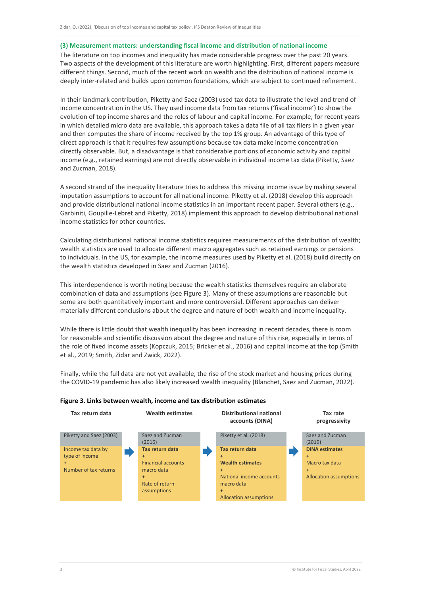#### **(3) Measurement matters: understanding fiscal income and distribution of national income**

The literature on top incomes and inequality has made considerable progress over the past 20 years. Two aspects of the development of this literature are worth highlighting. First, different papers measure different things. Second, much of the recent work on wealth and the distribution of national income is deeply inter-related and builds upon common foundations, which are subject to continued refinement.

In their landmark contribution, Piketty and Saez (2003) used tax data to illustrate the level and trend of income concentration in the US. They used income data from tax returns ('fiscal income') to show the evolution of top income shares and the roles of labour and capital income. For example, for recent years in which detailed micro data are available, this approach takes a data file of all tax filers in a given year and then computes the share of income received by the top 1% group. An advantage of this type of direct approach is that it requires few assumptions because tax data make income concentration directly observable. But, a disadvantage is that considerable portions of economic activity and capital income (e.g., retained earnings) are not directly observable in individual income tax data (Piketty, Saez and Zucman, 2018).

A second strand of the inequality literature tries to address this missing income issue by making several imputation assumptions to account for all national income. Piketty et al. (2018) develop this approach and provide distributional national income statistics in an important recent paper. Several others (e.g., Garbiniti, Goupille-Lebret and Piketty, 2018) implement this approach to develop distributional national income statistics for other countries.

Calculating distributional national income statistics requires measurements of the distribution of wealth; wealth statistics are used to allocate different macro aggregates such as retained earnings or pensions to individuals. In the US, for example, the income measures used by Piketty et al. (2018) build directly on the wealth statistics developed in Saez and Zucman (2016).

This interdependence is worth noting because the wealth statistics themselves require an elaborate combination of data and assumptions (see Figure 3). Many of these assumptions are reasonable but some are both quantitatively important and more controversial. Different approaches can deliver materially different conclusions about the degree and nature of both wealth and income inequality.

While there is little doubt that wealth inequality has been increasing in recent decades, there is room for reasonable and scientific discussion about the degree and nature of this rise, especially in terms of the role of fixed income assets (Kopczuk, 2015; Bricker et al., 2016) and capital income at the top (Smith et al., 2019; Smith, Zidar and Zwick, 2022).

Finally, while the full data are not yet available, the rise of the stock market and housing prices during the COVID-19 pandemic has also likely increased wealth inequality (Blanchet, Saez and Zucman, 2022).



#### **Figure 3. Links between wealth, income and tax distribution estimates**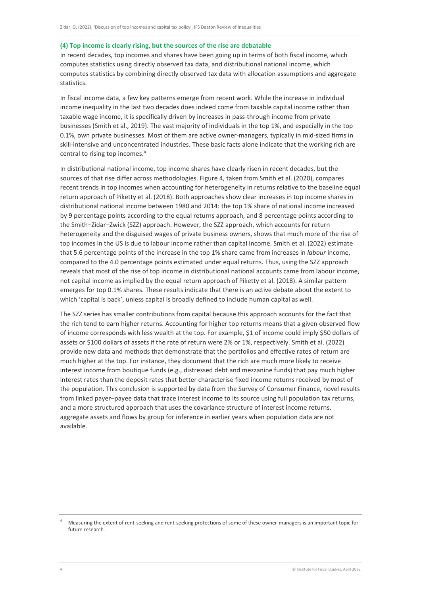#### **(4) Top income is clearly rising, but the sources of the rise are debatable**

In recent decades, top incomes and shares have been going up in terms of both fiscal income, which computes statistics using directly observed tax data, and distributional national income, which computes statistics by combining directly observed tax data with allocation assumptions and aggregate statistics.

In fiscal income data, a few key patterns emerge from recent work. While the increase in individual income inequality in the last two decades does indeed come from taxable capital income rather than taxable wage income, it is specifically driven by increases in pass-through income from private businesses (Smith et al., 2019). The vast majority of individuals in the top 1%, and especially in the top 0.1%, own private businesses. Most of them are active owner-managers, typically in mid-sized firms in skill-intensive and unconcentrated industries. These basic facts alone indicate that the working rich are central to rising top incomes. [4](#page-4-0)

In distributional national income, top income shares have clearly risen in recent decades, but the sources of that rise differ across methodologies. Figure 4, taken from Smith et al. (2020), compares recent trends in top incomes when accounting for heterogeneity in returns relative to the baseline equal return approach of Piketty et al. (2018). Both approaches show clear increases in top income shares in distributional national income between 1980 and 2014: the top 1% share of national income increased by 9 percentage points according to the equal returns approach, and 8 percentage points according to the Smith–Zidar–Zwick (SZZ) approach. However, the SZZ approach, which accounts for return heterogeneity and the disguised wages of private business owners, shows that much more of the rise of top incomes in the US is due to labour income rather than capital income. Smith et al. (2022) estimate that 5.6 percentage points of the increase in the top 1% share came from increases in *labour* income, compared to the 4.0 percentage points estimated under equal returns. Thus, using the SZZ approach reveals that most of the rise of top income in distributional national accounts came from labour income, not capital income as implied by the equal return approach of Piketty et al. (2018). A similar pattern emerges for top 0.1% shares. These results indicate that there is an active debate about the extent to which 'capital is back', unless capital is broadly defined to include human capital as well.

The SZZ series has smaller contributions from capital because this approach accounts for the fact that the rich tend to earn higher returns. Accounting for higher top returns means that a given observed flow of income corresponds with less wealth at the top. For example, \$1 of income could imply \$50 dollars of assets or \$100 dollars of assets if the rate of return were 2% or 1%, respectively. Smith et al. (2022) provide new data and methods that demonstrate that the portfolios and effective rates of return are much higher at the top. For instance, they document that the rich are much more likely to receive interest income from boutique funds (e.g., distressed debt and mezzanine funds) that pay much higher interest rates than the deposit rates that better characterise fixed income returns received by most of the population. This conclusion is supported by data from the Survey of Consumer Finance, novel results from linked payer–payee data that trace interest income to its source using full population tax returns, and a more structured approach that uses the covariance structure of interest income returns, aggregate assets and flows by group for inference in earlier years when population data are not available.

<span id="page-4-0"></span><sup>4</sup> Measuring the extent of rent-seeking and rent-seeking protections of some of these owner-managers is an important topic for future research.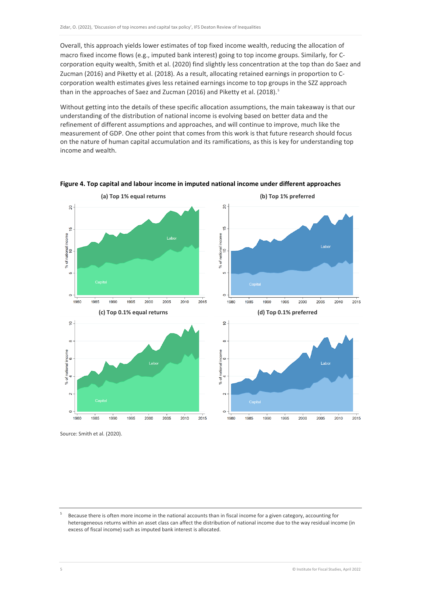Overall, this approach yields lower estimates of top fixed income wealth, reducing the allocation of macro fixed income flows (e.g., imputed bank interest) going to top income groups. Similarly, for Ccorporation equity wealth, Smith et al. (2020) find slightly less concentration at the top than do Saez and Zucman (2016) and Piketty et al. (2018). As a result, allocating retained earnings in proportion to Ccorporation wealth estimates gives less retained earnings income to top groups in the SZZ approach than in the approaches of Saez and Zucman (2016) and Piketty et al. (2018). [5](#page-5-0)

Without getting into the details of these specific allocation assumptions, the main takeaway is that our understanding of the distribution of national income is evolving based on better data and the refinement of different assumptions and approaches, and will continue to improve, much like the measurement of GDP. One other point that comes from this work is that future research should focus on the nature of human capital accumulation and its ramifications, as this is key for understanding top income and wealth.



**Figure 4. Top capital and labour income in imputed national income under different approaches**

Source: Smith et al. (2020).

<span id="page-5-0"></span><sup>5</sup> Because there is often more income in the national accounts than in fiscal income for a given category, accounting for heterogeneous returns within an asset class can affect the distribution of national income due to the way residual income (in excess of fiscal income) such as imputed bank interest is allocated.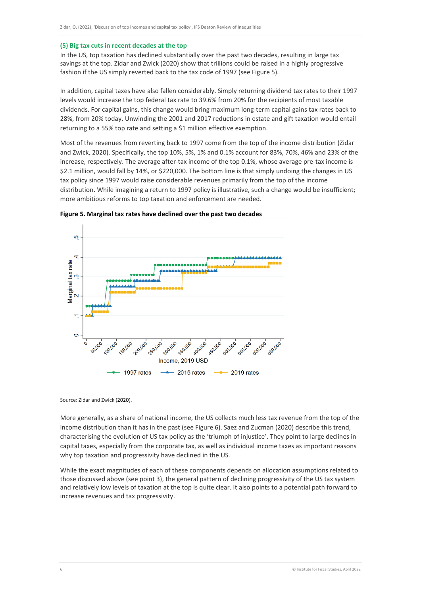#### **(5) Big tax cuts in recent decades at the top**

In the US, top taxation has declined substantially over the past two decades, resulting in large tax savings at the top. Zidar and Zwick (2020) show that trillions could be raised in a highly progressive fashion if the US simply reverted back to the tax code of 1997 (see Figure 5).

In addition, capital taxes have also fallen considerably. Simply returning dividend tax rates to their 1997 levels would increase the top federal tax rate to 39.6% from 20% for the recipients of most taxable dividends. For capital gains, this change would bring maximum long-term capital gains tax rates back to 28%, from 20% today. Unwinding the 2001 and 2017 reductions in estate and gift taxation would entail returning to a 55% top rate and setting a \$1 million effective exemption.

Most of the revenues from reverting back to 1997 come from the top of the income distribution (Zidar and Zwick, 2020). Specifically, the top 10%, 5%, 1% and 0.1% account for 83%, 70%, 46% and 23% of the increase, respectively. The average after-tax income of the top 0.1%, whose average pre-tax income is \$2.1 million, would fall by 14%, or \$220,000. The bottom line is that simply undoing the changes in US tax policy since 1997 would raise considerable revenues primarily from the top of the income distribution. While imagining a return to 1997 policy is illustrative, such a change would be insufficient; more ambitious reforms to top taxation and enforcement are needed.



**Figure 5. Marginal tax rates have declined over the past two decades**

Source: Zidar and Zwick (2020).

More generally, as a share of national income, the US collects much less tax revenue from the top of the income distribution than it has in the past (see Figure 6). Saez and Zucman (2020) describe this trend, characterising the evolution of US tax policy as the 'triumph of injustice'. They point to large declines in capital taxes, especially from the corporate tax, as well as individual income taxes as important reasons why top taxation and progressivity have declined in the US.

While the exact magnitudes of each of these components depends on allocation assumptions related to those discussed above (see point 3), the general pattern of declining progressivity of the US tax system and relatively low levels of taxation at the top is quite clear. It also points to a potential path forward to increase revenues and tax progressivity.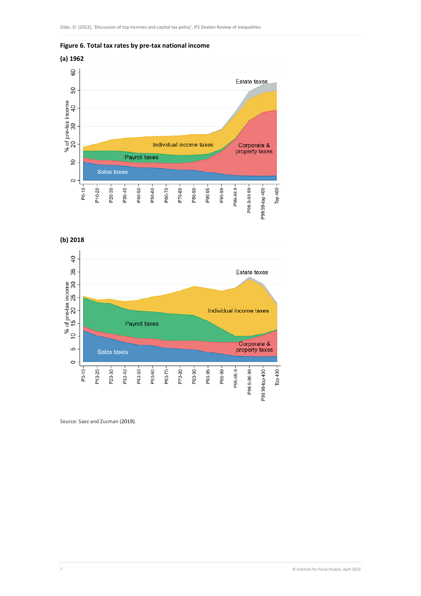

**(a) 1962**



**(b) 2018**



Source: Saez and Zucman (2019).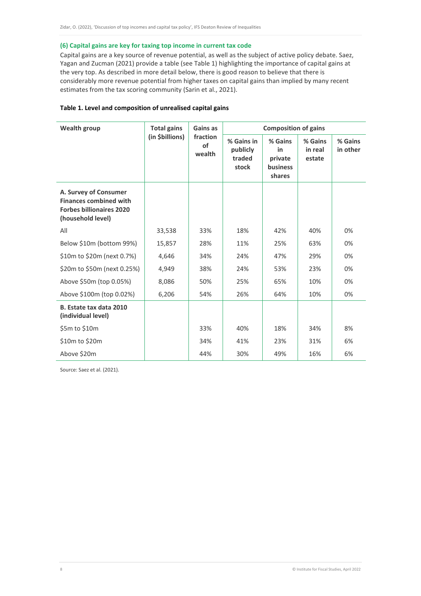#### **(6) Capital gains are key for taxing top income in current tax code**

Capital gains are a key source of revenue potential, as well as the subject of active policy debate. Saez, Yagan and Zucman (2021) provide a table (see Table 1) highlighting the importance of capital gains at the very top. As described in more detail below, there is good reason to believe that there is considerably more revenue potential from higher taxes on capital gains than implied by many recent estimates from the tax scoring community (Sarin et al., 2021).

| Table 1. Level and composition of unrealised capital gains |  |  |  |  |
|------------------------------------------------------------|--|--|--|--|
|------------------------------------------------------------|--|--|--|--|

| <b>Wealth group</b>                                                                                            | <b>Total gains</b><br>(in \$billions) | Gains as<br>fraction<br><b>of</b><br>wealth | <b>Composition of gains</b>               |                                                       |                              |                     |
|----------------------------------------------------------------------------------------------------------------|---------------------------------------|---------------------------------------------|-------------------------------------------|-------------------------------------------------------|------------------------------|---------------------|
|                                                                                                                |                                       |                                             | % Gains in<br>publicly<br>traded<br>stock | % Gains<br>in<br>private<br><b>business</b><br>shares | % Gains<br>in real<br>estate | % Gains<br>in other |
| A. Survey of Consumer<br><b>Finances combined with</b><br><b>Forbes billionaires 2020</b><br>(household level) |                                       |                                             |                                           |                                                       |                              |                     |
| All                                                                                                            | 33,538                                | 33%                                         | 18%                                       | 42%                                                   | 40%                          | 0%                  |
| Below \$10m (bottom 99%)                                                                                       | 15,857                                | 28%                                         | 11%                                       | 25%                                                   | 63%                          | 0%                  |
| \$10m to \$20m (next 0.7%)                                                                                     | 4,646                                 | 34%                                         | 24%                                       | 47%                                                   | 29%                          | 0%                  |
| \$20m to \$50m (next 0.25%)                                                                                    | 4,949                                 | 38%                                         | 24%                                       | 53%                                                   | 23%                          | 0%                  |
| Above \$50m (top 0.05%)                                                                                        | 8,086                                 | 50%                                         | 25%                                       | 65%                                                   | 10%                          | 0%                  |
| Above \$100m (top 0.02%)                                                                                       | 6,206                                 | 54%                                         | 26%                                       | 64%                                                   | 10%                          | 0%                  |
| B. Estate tax data 2010<br>(individual level)                                                                  |                                       |                                             |                                           |                                                       |                              |                     |
| \$5m to \$10m                                                                                                  |                                       | 33%                                         | 40%                                       | 18%                                                   | 34%                          | 8%                  |
| \$10m to \$20m                                                                                                 |                                       | 34%                                         | 41%                                       | 23%                                                   | 31%                          | 6%                  |
| Above \$20m                                                                                                    |                                       | 44%                                         | 30%                                       | 49%                                                   | 16%                          | 6%                  |

Source: Saez et al. (2021).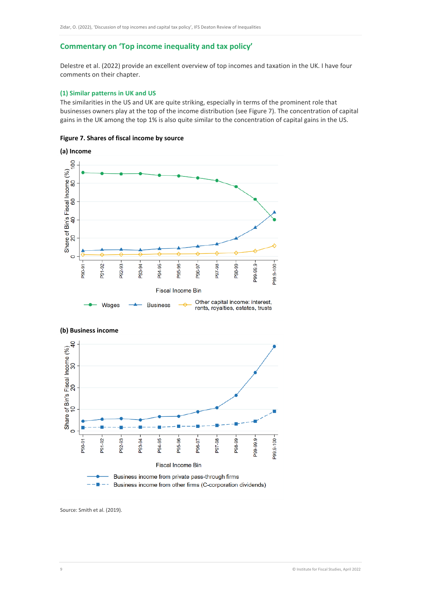# **Commentary on 'Top income inequality and tax policy'**

Delestre et al. (2022) provide an excellent overview of top incomes and taxation in the UK. I have four comments on their chapter.

#### **(1) Similar patterns in UK and US**

The similarities in the US and UK are quite striking, especially in terms of the prominent role that businesses owners play at the top of the income distribution (see Figure 7). The concentration of capital gains in the UK among the top 1% is also quite similar to the concentration of capital gains in the US.

#### **Figure 7. Shares of fiscal income by source**





**(b) Business income**

Source: Smith et al. (2019).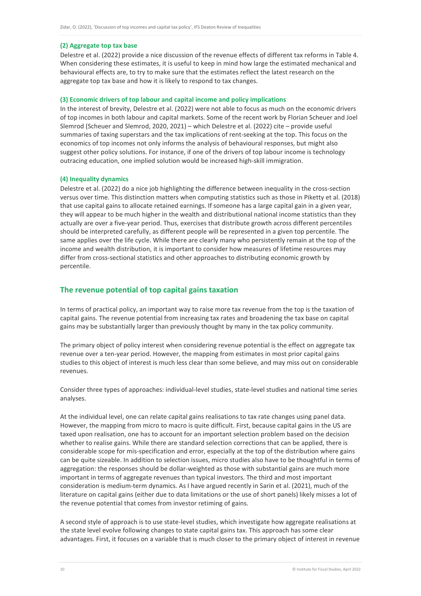#### **(2) Aggregate top tax base**

Delestre et al. (2022) provide a nice discussion of the revenue effects of different tax reforms in Table 4. When considering these estimates, it is useful to keep in mind how large the estimated mechanical and behavioural effects are, to try to make sure that the estimates reflect the latest research on the aggregate top tax base and how it is likely to respond to tax changes.

#### **(3) Economic drivers of top labour and capital income and policy implications**

In the interest of brevity, Delestre et al. (2022) were not able to focus as much on the economic drivers of top incomes in both labour and capital markets. Some of the recent work by Florian Scheuer and Joel Slemrod (Scheuer and Slemrod, 2020, 2021) – which Delestre et al. (2022) cite – provide useful summaries of taxing superstars and the tax implications of rent-seeking at the top. This focus on the economics of top incomes not only informs the analysis of behavioural responses, but might also suggest other policy solutions. For instance, if one of the drivers of top labour income is technology outracing education, one implied solution would be increased high-skill immigration.

#### **(4) Inequality dynamics**

Delestre et al. (2022) do a nice job highlighting the difference between inequality in the cross-section versus over time. This distinction matters when computing statistics such as those in Piketty et al. (2018) that use capital gains to allocate retained earnings. If someone has a large capital gain in a given year, they will appear to be much higher in the wealth and distributional national income statistics than they actually are over a five-year period. Thus, exercises that distribute growth across different percentiles should be interpreted carefully, as different people will be represented in a given top percentile. The same applies over the life cycle. While there are clearly many who persistently remain at the top of the income and wealth distribution, it is important to consider how measures of lifetime resources may differ from cross-sectional statistics and other approaches to distributing economic growth by percentile.

#### **The revenue potential of top capital gains taxation**

In terms of practical policy, an important way to raise more tax revenue from the top is the taxation of capital gains. The revenue potential from increasing tax rates and broadening the tax base on capital gains may be substantially larger than previously thought by many in the tax policy community.

The primary object of policy interest when considering revenue potential is the effect on aggregate tax revenue over a ten-year period. However, the mapping from estimates in most prior capital gains studies to this object of interest is much less clear than some believe, and may miss out on considerable revenues.

Consider three types of approaches: individual-level studies, state-level studies and national time series analyses.

At the individual level, one can relate capital gains realisations to tax rate changes using panel data. However, the mapping from micro to macro is quite difficult. First, because capital gains in the US are taxed upon realisation, one has to account for an important selection problem based on the decision whether to realise gains. While there are standard selection corrections that can be applied, there is considerable scope for mis-specification and error, especially at the top of the distribution where gains can be quite sizeable. In addition to selection issues, micro studies also have to be thoughtful in terms of aggregation: the responses should be dollar-weighted as those with substantial gains are much more important in terms of aggregate revenues than typical investors. The third and most important consideration is medium-term dynamics. As I have argued recently in Sarin et al. (2021), much of the literature on capital gains (either due to data limitations or the use of short panels) likely misses a lot of the revenue potential that comes from investor retiming of gains.

A second style of approach is to use state-level studies, which investigate how aggregate realisations at the state level evolve following changes to state capital gains tax. This approach has some clear advantages. First, it focuses on a variable that is much closer to the primary object of interest in revenue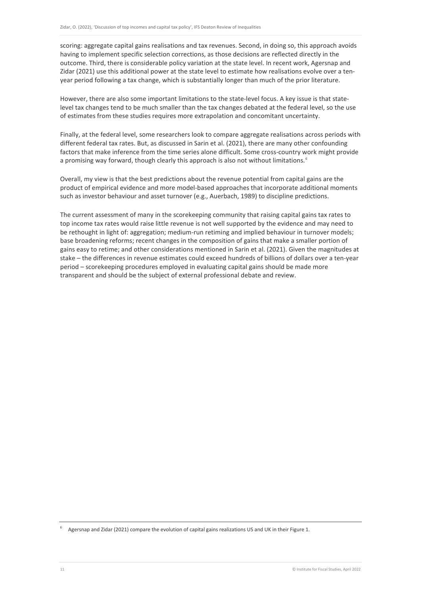scoring: aggregate capital gains realisations and tax revenues. Second, in doing so, this approach avoids having to implement specific selection corrections, as those decisions are reflected directly in the outcome. Third, there is considerable policy variation at the state level. In recent work, Agersnap and Zidar (2021) use this additional power at the state level to estimate how realisations evolve over a tenyear period following a tax change, which is substantially longer than much of the prior literature.

However, there are also some important limitations to the state-level focus. A key issue is that statelevel tax changes tend to be much smaller than the tax changes debated at the federal level, so the use of estimates from these studies requires more extrapolation and concomitant uncertainty.

Finally, at the federal level, some researchers look to compare aggregate realisations across periods with different federal tax rates. But, as discussed in Sarin et al. (2021), there are many other confounding factors that make inference from the time series alone difficult. Some cross-country work might provide a promising way forward, though clearly this approach is also not without limitations.<sup>[6](#page-11-0)</sup>

Overall, my view is that the best predictions about the revenue potential from capital gains are the product of empirical evidence and more model-based approaches that incorporate additional moments such as investor behaviour and asset turnover (e.g., Auerbach, 1989) to discipline predictions.

The current assessment of many in the scorekeeping community that raising capital gains tax rates to top income tax rates would raise little revenue is not well supported by the evidence and may need to be rethought in light of: aggregation; medium-run retiming and implied behaviour in turnover models; base broadening reforms; recent changes in the composition of gains that make a smaller portion of gains easy to retime; and other considerations mentioned in Sarin et al. (2021). Given the magnitudes at stake – the differences in revenue estimates could exceed hundreds of billions of dollars over a ten-year period – scorekeeping procedures employed in evaluating capital gains should be made more transparent and should be the subject of external professional debate and review.

<span id="page-11-0"></span>Agersnap and Zidar (2021) compare the evolution of capital gains realizations US and UK in their Figure 1.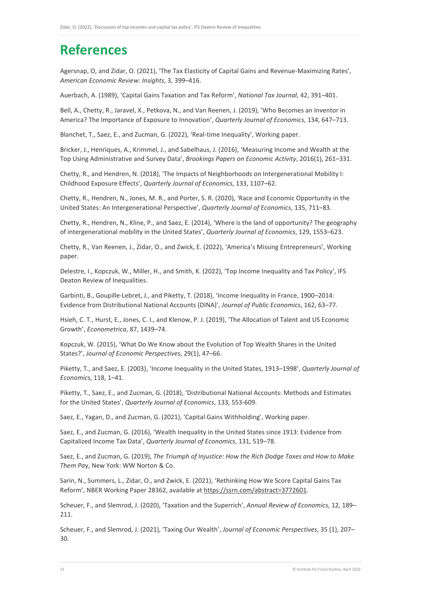# **References**

Agersnap, O, and Zidar, O. (2021), 'The Tax Elasticity of Capital Gains and Revenue-Maximizing Rates', *American Economic Review: Insights*, 3, 399–416.

Auerbach, A. (1989), 'Capital Gains Taxation and Tax Reform', *National Tax Journal*, 42, 391–401.

Bell, A., Chetty, R., Jaravel, X., Petkova, N., and Van Reenen, J. (2019), 'Who Becomes an Inventor in America? The Importance of Exposure to Innovation', *Quarterly Journal of Economics*, 134, 647–713.

Blanchet, T., Saez, E., and Zucman, G. (2022), 'Real-time Inequality', Working paper.

Bricker, J., Henriques, A., Krimmel, J., and Sabelhaus, J. (2016), 'Measuring Income and Wealth at the Top Using Administrative and Survey Data', *Brookings Papers on Economic Activity*, 2016(1), 261–331.

Chetty, R., and Hendren, N. (2018), 'The Impacts of Neighborhoods on Intergenerational Mobility I: Childhood Exposure Effects', *Quarterly Journal of Economics*, 133, 1107–62.

Chetty, R., Hendren, N., Jones, M. R., and Porter, S. R. (2020), 'Race and Economic Opportunity in the United States: An Intergenerational Perspective', *Quarterly Journal of Economics*, 135, 711–83.

Chetty, R., Hendren, N., Kline, P., and Saez, E. (2014), 'Where is the land of opportunity? The geography of intergenerational mobility in the United States', *Quarterly Journal of Economics*, 129, 1553–623.

Chetty, R., Van Reenen, J., Zidar, O., and Zwick, E. (2022), 'America's Missing Entrepreneurs', Working paper.

Delestre, I., Kopczuk, W., Miller, H., and Smith, K. (2022), 'Top Income Inequality and Tax Policy', IFS Deaton Review of Inequalities.

Garbinti, B., Goupille-Lebret, J., and Piketty, T. (2018), 'Income Inequality in France, 1900–2014: Evidence from Distributional National Accounts (DINA)', *Journal of Public Economics*, 162, 63–77.

Hsieh, C. T., Hurst, E., Jones, C. I., and Klenow, P. J. (2019), 'The Allocation of Talent and US Economic Growth', *Econometrica*, 87, 1439–74.

Kopczuk, W. (2015), 'What Do We Know about the Evolution of Top Wealth Shares in the United States?', *Journal of Economic Perspectives*, 29(1), 47–66.

Piketty, T., and Saez, E. (2003), 'Income Inequality in the United States, 1913–1998', *Quarterly Journal of Economic*s, 118, 1–41.

Piketty, T., Saez, E., and Zucman, G. (2018), 'Distributional National Accounts: Methods and Estimates for the United States', *Quarterly Journal of Economics*, 133, 553-609.

Saez, E., Yagan, D., and Zucman, G. (2021), 'Capital Gains Withholding', Working paper.

Saez, E., and Zucman, G. (2016), 'Wealth Inequality in the United States since 1913: Evidence from Capitalized Income Tax Data', *Quarterly Journal of Economics*, 131, 519–78.

Saez, E., and Zucman, G. (2019), *The Triumph of Injustice: How the Rich Dodge Taxes and How to Make Them Pa*y, New York: WW Norton & Co.

Sarin, N., Summers, L., Zidar, O., and Zwick, E. (2021), 'Rethinking How We Score Capital Gains Tax Reform', NBER Working Paper 28362, available a[t https://ssrn.com/abstract=3772601.](https://ssrn.com/abstract=3772601)

Scheuer, F., and Slemrod, J. (2020), 'Taxation and the Superrich', *Annual Review of Economics*, 12, 189– 211.

Scheuer, F., and Slemrod, J. (2021), 'Taxing Our Wealth', *Journal of Economic Perspectives*, 35 (1), 207– 30.